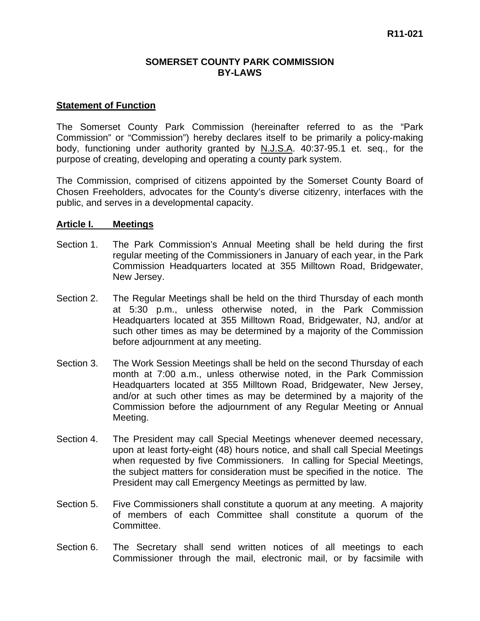#### **SOMERSET COUNTY PARK COMMISSION BY-LAWS**

#### **Statement of Function**

The Somerset County Park Commission (hereinafter referred to as the "Park Commission" or "Commission") hereby declares itself to be primarily a policy-making body, functioning under authority granted by N.J.S.A. 40:37-95.1 et. seq., for the purpose of creating, developing and operating a county park system.

The Commission, comprised of citizens appointed by the Somerset County Board of Chosen Freeholders, advocates for the County's diverse citizenry, interfaces with the public, and serves in a developmental capacity.

#### **Article I. Meetings**

- Section 1. The Park Commission's Annual Meeting shall be held during the first regular meeting of the Commissioners in January of each year, in the Park Commission Headquarters located at 355 Milltown Road, Bridgewater, New Jersey.
- Section 2. The Regular Meetings shall be held on the third Thursday of each month at 5:30 p.m., unless otherwise noted, in the Park Commission Headquarters located at 355 Milltown Road, Bridgewater, NJ, and/or at such other times as may be determined by a majority of the Commission before adjournment at any meeting.
- Section 3. The Work Session Meetings shall be held on the second Thursday of each month at 7:00 a.m., unless otherwise noted, in the Park Commission Headquarters located at 355 Milltown Road, Bridgewater, New Jersey, and/or at such other times as may be determined by a majority of the Commission before the adjournment of any Regular Meeting or Annual Meeting.
- Section 4. The President may call Special Meetings whenever deemed necessary, upon at least forty-eight (48) hours notice, and shall call Special Meetings when requested by five Commissioners. In calling for Special Meetings, the subject matters for consideration must be specified in the notice. The President may call Emergency Meetings as permitted by law.
- Section 5. Five Commissioners shall constitute a quorum at any meeting. A majority of members of each Committee shall constitute a quorum of the Committee.
- Section 6. The Secretary shall send written notices of all meetings to each Commissioner through the mail, electronic mail, or by facsimile with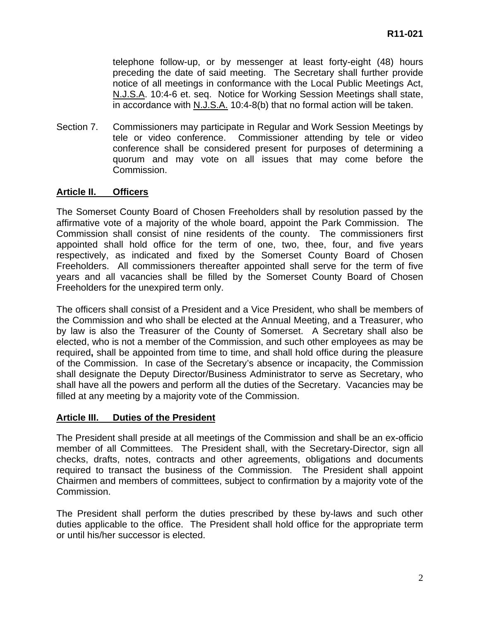telephone follow-up, or by messenger at least forty-eight (48) hours preceding the date of said meeting. The Secretary shall further provide notice of all meetings in conformance with the Local Public Meetings Act, N.J.S.A. 10:4-6 et. seq. Notice for Working Session Meetings shall state, in accordance with N.J.S.A. 10:4-8(b) that no formal action will be taken.

Section 7. Commissioners may participate in Regular and Work Session Meetings by tele or video conference. Commissioner attending by tele or video conference shall be considered present for purposes of determining a quorum and may vote on all issues that may come before the Commission.

### **Article II. Officers**

The Somerset County Board of Chosen Freeholders shall by resolution passed by the affirmative vote of a majority of the whole board, appoint the Park Commission. The Commission shall consist of nine residents of the county. The commissioners first appointed shall hold office for the term of one, two, thee, four, and five years respectively, as indicated and fixed by the Somerset County Board of Chosen Freeholders. All commissioners thereafter appointed shall serve for the term of five years and all vacancies shall be filled by the Somerset County Board of Chosen Freeholders for the unexpired term only.

The officers shall consist of a President and a Vice President, who shall be members of the Commission and who shall be elected at the Annual Meeting, and a Treasurer, who by law is also the Treasurer of the County of Somerset. A Secretary shall also be elected, who is not a member of the Commission, and such other employees as may be required**,** shall be appointed from time to time, and shall hold office during the pleasure of the Commission. In case of the Secretary's absence or incapacity, the Commission shall designate the Deputy Director/Business Administrator to serve as Secretary, who shall have all the powers and perform all the duties of the Secretary. Vacancies may be filled at any meeting by a majority vote of the Commission.

### **Article III. Duties of the President**

The President shall preside at all meetings of the Commission and shall be an ex-officio member of all Committees. The President shall, with the Secretary-Director, sign all checks, drafts, notes, contracts and other agreements, obligations and documents required to transact the business of the Commission. The President shall appoint Chairmen and members of committees, subject to confirmation by a majority vote of the Commission.

The President shall perform the duties prescribed by these by-laws and such other duties applicable to the office. The President shall hold office for the appropriate term or until his/her successor is elected.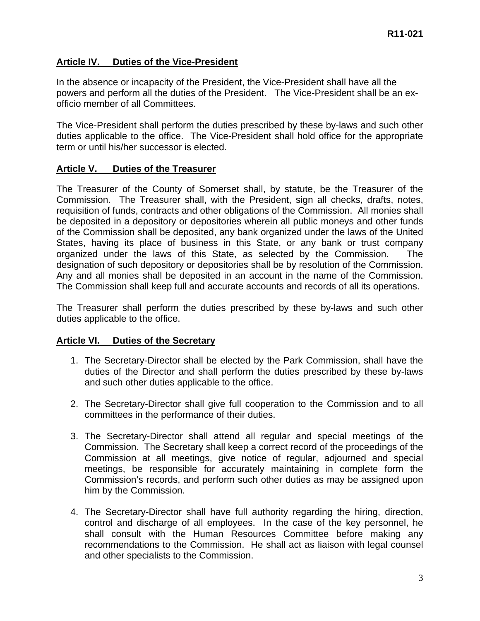# **Article IV. Duties of the Vice-President**

In the absence or incapacity of the President, the Vice-President shall have all the powers and perform all the duties of the President. The Vice-President shall be an exofficio member of all Committees.

The Vice-President shall perform the duties prescribed by these by-laws and such other duties applicable to the office. The Vice-President shall hold office for the appropriate term or until his/her successor is elected.

### **Article V. Duties of the Treasurer**

The Treasurer of the County of Somerset shall, by statute, be the Treasurer of the Commission. The Treasurer shall, with the President, sign all checks, drafts, notes, requisition of funds, contracts and other obligations of the Commission. All monies shall be deposited in a depository or depositories wherein all public moneys and other funds of the Commission shall be deposited, any bank organized under the laws of the United States, having its place of business in this State, or any bank or trust company organized under the laws of this State, as selected by the Commission. The designation of such depository or depositories shall be by resolution of the Commission. Any and all monies shall be deposited in an account in the name of the Commission. The Commission shall keep full and accurate accounts and records of all its operations.

The Treasurer shall perform the duties prescribed by these by-laws and such other duties applicable to the office.

### **Article VI. Duties of the Secretary**

- 1. The Secretary-Director shall be elected by the Park Commission, shall have the duties of the Director and shall perform the duties prescribed by these by-laws and such other duties applicable to the office.
- 2. The Secretary-Director shall give full cooperation to the Commission and to all committees in the performance of their duties.
- 3. The Secretary-Director shall attend all regular and special meetings of the Commission. The Secretary shall keep a correct record of the proceedings of the Commission at all meetings, give notice of regular, adjourned and special meetings, be responsible for accurately maintaining in complete form the Commission's records, and perform such other duties as may be assigned upon him by the Commission.
- 4. The Secretary-Director shall have full authority regarding the hiring, direction, control and discharge of all employees. In the case of the key personnel, he shall consult with the Human Resources Committee before making any recommendations to the Commission. He shall act as liaison with legal counsel and other specialists to the Commission.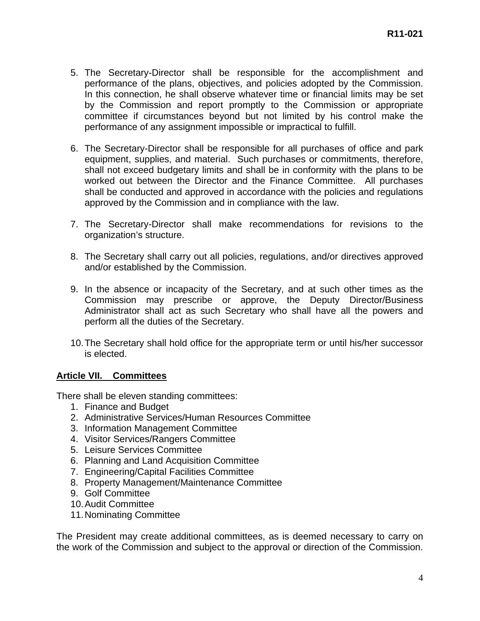- 5. The Secretary-Director shall be responsible for the accomplishment and performance of the plans, objectives, and policies adopted by the Commission. In this connection, he shall observe whatever time or financial limits may be set by the Commission and report promptly to the Commission or appropriate committee if circumstances beyond but not limited by his control make the performance of any assignment impossible or impractical to fulfill.
- 6. The Secretary-Director shall be responsible for all purchases of office and park equipment, supplies, and material. Such purchases or commitments, therefore, shall not exceed budgetary limits and shall be in conformity with the plans to be worked out between the Director and the Finance Committee. All purchases shall be conducted and approved in accordance with the policies and regulations approved by the Commission and in compliance with the law.
- 7. The Secretary-Director shall make recommendations for revisions to the organization's structure.
- 8. The Secretary shall carry out all policies, regulations, and/or directives approved and/or established by the Commission.
- 9. In the absence or incapacity of the Secretary, and at such other times as the Commission may prescribe or approve, the Deputy Director/Business Administrator shall act as such Secretary who shall have all the powers and perform all the duties of the Secretary.
- 10. The Secretary shall hold office for the appropriate term or until his/her successor is elected.

### **Article VII. Committees**

There shall be eleven standing committees:

- 1. Finance and Budget
- 2. Administrative Services/Human Resources Committee
- 3. Information Management Committee
- 4. Visitor Services/Rangers Committee
- 5. Leisure Services Committee
- 6. Planning and Land Acquisition Committee
- 7. Engineering/Capital Facilities Committee
- 8. Property Management/Maintenance Committee
- 9. Golf Committee
- 10. Audit Committee
- 11. Nominating Committee

The President may create additional committees, as is deemed necessary to carry on the work of the Commission and subject to the approval or direction of the Commission.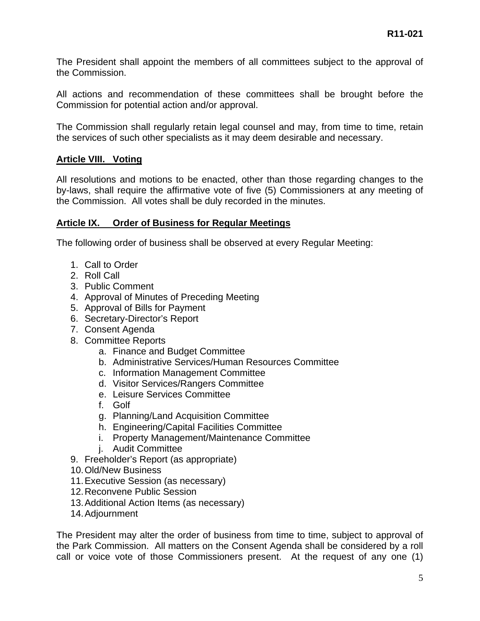The President shall appoint the members of all committees subject to the approval of the Commission.

All actions and recommendation of these committees shall be brought before the Commission for potential action and/or approval.

The Commission shall regularly retain legal counsel and may, from time to time, retain the services of such other specialists as it may deem desirable and necessary.

### **Article VIII. Voting**

All resolutions and motions to be enacted, other than those regarding changes to the by-laws, shall require the affirmative vote of five (5) Commissioners at any meeting of the Commission. All votes shall be duly recorded in the minutes.

### **Article IX. Order of Business for Regular Meetings**

The following order of business shall be observed at every Regular Meeting:

- 1. Call to Order
- 2. Roll Call
- 3. Public Comment
- 4. Approval of Minutes of Preceding Meeting
- 5. Approval of Bills for Payment
- 6. Secretary-Director's Report
- 7. Consent Agenda
- 8. Committee Reports
	- a. Finance and Budget Committee
	- b. Administrative Services/Human Resources Committee
	- c. Information Management Committee
	- d. Visitor Services/Rangers Committee
	- e. Leisure Services Committee
	- f. Golf
	- g. Planning/Land Acquisition Committee
	- h. Engineering/Capital Facilities Committee
	- i. Property Management/Maintenance Committee
	- j. Audit Committee
- 9. Freeholder's Report (as appropriate)
- 10. Old/New Business
- 11. Executive Session (as necessary)
- 12. Reconvene Public Session
- 13. Additional Action Items (as necessary)
- 14. Adjournment

The President may alter the order of business from time to time, subject to approval of the Park Commission. All matters on the Consent Agenda shall be considered by a roll call or voice vote of those Commissioners present. At the request of any one (1)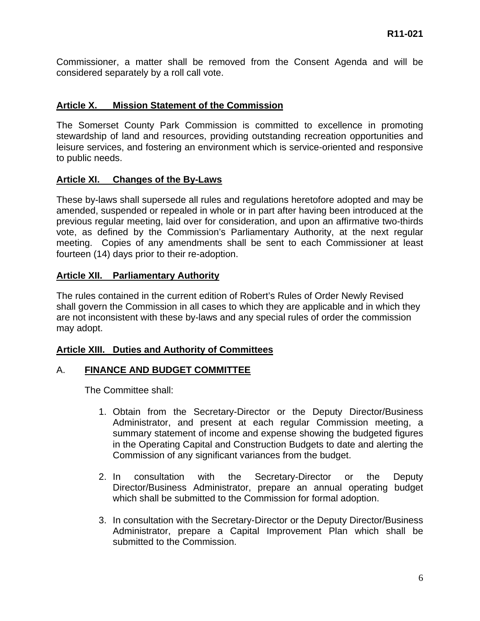Commissioner, a matter shall be removed from the Consent Agenda and will be considered separately by a roll call vote.

### **Article X. Mission Statement of the Commission**

The Somerset County Park Commission is committed to excellence in promoting stewardship of land and resources, providing outstanding recreation opportunities and leisure services, and fostering an environment which is service-oriented and responsive to public needs.

#### **Article XI. Changes of the By-Laws**

These by-laws shall supersede all rules and regulations heretofore adopted and may be amended, suspended or repealed in whole or in part after having been introduced at the previous regular meeting, laid over for consideration, and upon an affirmative two-thirds vote, as defined by the Commission's Parliamentary Authority, at the next regular meeting. Copies of any amendments shall be sent to each Commissioner at least fourteen (14) days prior to their re-adoption.

#### **Article XII. Parliamentary Authority**

The rules contained in the current edition of Robert's Rules of Order Newly Revised shall govern the Commission in all cases to which they are applicable and in which they are not inconsistent with these by-laws and any special rules of order the commission may adopt.

### **Article XIII. Duties and Authority of Committees**

### A. **FINANCE AND BUDGET COMMITTEE**

The Committee shall:

- 1. Obtain from the Secretary-Director or the Deputy Director/Business Administrator, and present at each regular Commission meeting, a summary statement of income and expense showing the budgeted figures in the Operating Capital and Construction Budgets to date and alerting the Commission of any significant variances from the budget.
- 2. In consultation with the Secretary-Director or the Deputy Director/Business Administrator, prepare an annual operating budget which shall be submitted to the Commission for formal adoption.
- 3. In consultation with the Secretary-Director or the Deputy Director/Business Administrator, prepare a Capital Improvement Plan which shall be submitted to the Commission.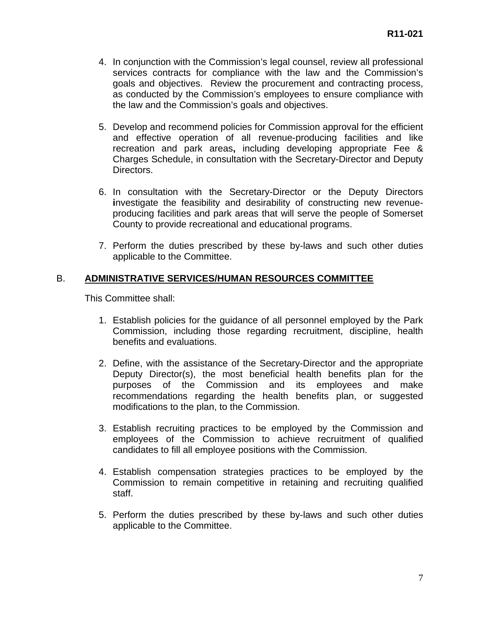- 4. In conjunction with the Commission's legal counsel, review all professional services contracts for compliance with the law and the Commission's goals and objectives. Review the procurement and contracting process, as conducted by the Commission's employees to ensure compliance with the law and the Commission's goals and objectives.
- 5. Develop and recommend policies for Commission approval for the efficient and effective operation of all revenue-producing facilities and like recreation and park areas**,** including developing appropriate Fee & Charges Schedule, in consultation with the Secretary-Director and Deputy Directors.
- 6. In consultation with the Secretary-Director or the Deputy Directors **i**nvestigate the feasibility and desirability of constructing new revenueproducing facilities and park areas that will serve the people of Somerset County to provide recreational and educational programs.
- 7. Perform the duties prescribed by these by-laws and such other duties applicable to the Committee.

## B. **ADMINISTRATIVE SERVICES/HUMAN RESOURCES COMMITTEE**

This Committee shall:

- 1. Establish policies for the guidance of all personnel employed by the Park Commission, including those regarding recruitment, discipline, health benefits and evaluations.
- 2. Define, with the assistance of the Secretary-Director and the appropriate Deputy Director(s), the most beneficial health benefits plan for the purposes of the Commission and its employees and make recommendations regarding the health benefits plan, or suggested modifications to the plan, to the Commission.
- 3. Establish recruiting practices to be employed by the Commission and employees of the Commission to achieve recruitment of qualified candidates to fill all employee positions with the Commission.
- 4. Establish compensation strategies practices to be employed by the Commission to remain competitive in retaining and recruiting qualified staff.
- 5. Perform the duties prescribed by these by-laws and such other duties applicable to the Committee.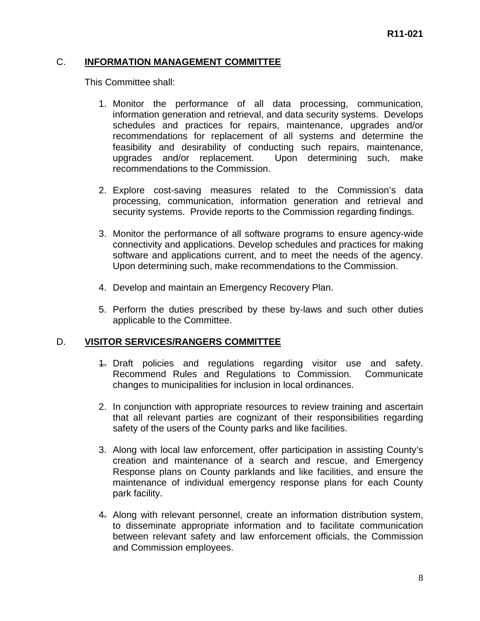### C. **INFORMATION MANAGEMENT COMMITTEE**

This Committee shall:

- 1. Monitor the performance of all data processing, communication, information generation and retrieval, and data security systems. Develops schedules and practices for repairs, maintenance, upgrades and/or recommendations for replacement of all systems and determine the feasibility and desirability of conducting such repairs, maintenance, upgrades and/or replacement. Upon determining such, make recommendations to the Commission.
- 2. Explore cost-saving measures related to the Commission's data processing, communication, information generation and retrieval and security systems. Provide reports to the Commission regarding findings.
- 3. Monitor the performance of all software programs to ensure agency-wide connectivity and applications. Develop schedules and practices for making software and applications current, and to meet the needs of the agency. Upon determining such, make recommendations to the Commission.
- 4. Develop and maintain an Emergency Recovery Plan.
- 5. Perform the duties prescribed by these by-laws and such other duties applicable to the Committee.

### D. **VISITOR SERVICES/RANGERS COMMITTEE**

- 1. Draft policies and regulations regarding visitor use and safety. Recommend Rules and Regulations to Commission. Communicate changes to municipalities for inclusion in local ordinances.
- 2. In conjunction with appropriate resources to review training and ascertain that all relevant parties are cognizant of their responsibilities regarding safety of the users of the County parks and like facilities.
- 3. Along with local law enforcement, offer participation in assisting County's creation and maintenance of a search and rescue, and Emergency Response plans on County parklands and like facilities, and ensure the maintenance of individual emergency response plans for each County park facility.
- 4. Along with relevant personnel, create an information distribution system, to disseminate appropriate information and to facilitate communication between relevant safety and law enforcement officials, the Commission and Commission employees.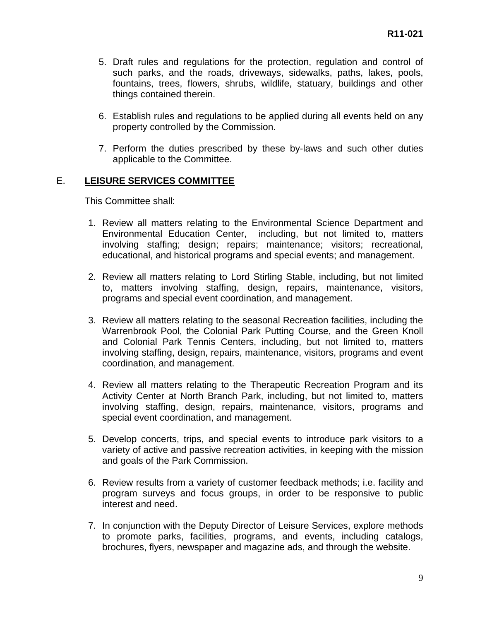- 5. Draft rules and regulations for the protection, regulation and control of such parks, and the roads, driveways, sidewalks, paths, lakes, pools, fountains, trees, flowers, shrubs, wildlife, statuary, buildings and other things contained therein.
- 6. Establish rules and regulations to be applied during all events held on any property controlled by the Commission.
- 7. Perform the duties prescribed by these by-laws and such other duties applicable to the Committee.

### E. **LEISURE SERVICES COMMITTEE**

This Committee shall:

- 1. Review all matters relating to the Environmental Science Department and Environmental Education Center, including, but not limited to, matters involving staffing; design; repairs; maintenance; visitors; recreational, educational, and historical programs and special events; and management.
- 2. Review all matters relating to Lord Stirling Stable, including, but not limited to, matters involving staffing, design, repairs, maintenance, visitors, programs and special event coordination, and management.
- 3. Review all matters relating to the seasonal Recreation facilities, including the Warrenbrook Pool, the Colonial Park Putting Course, and the Green Knoll and Colonial Park Tennis Centers, including, but not limited to, matters involving staffing, design, repairs, maintenance, visitors, programs and event coordination, and management.
- 4. Review all matters relating to the Therapeutic Recreation Program and its Activity Center at North Branch Park, including, but not limited to, matters involving staffing, design, repairs, maintenance, visitors, programs and special event coordination, and management.
- 5. Develop concerts, trips, and special events to introduce park visitors to a variety of active and passive recreation activities, in keeping with the mission and goals of the Park Commission.
- 6. Review results from a variety of customer feedback methods; i.e. facility and program surveys and focus groups, in order to be responsive to public interest and need.
- 7. In conjunction with the Deputy Director of Leisure Services, explore methods to promote parks, facilities, programs, and events, including catalogs, brochures, flyers, newspaper and magazine ads, and through the website.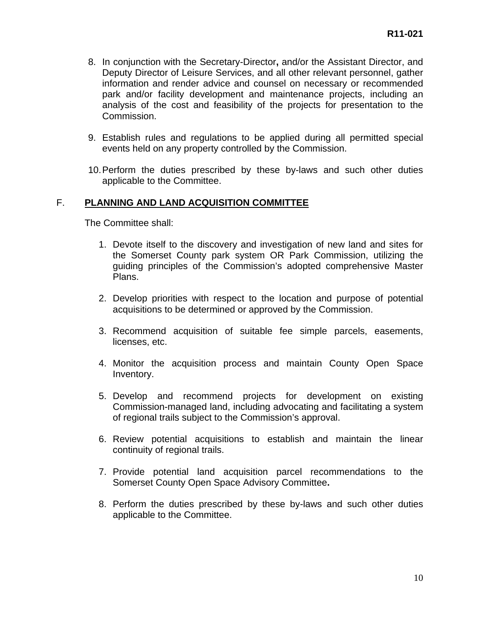- 8. In conjunction with the Secretary-Director**,** and/or the Assistant Director, and Deputy Director of Leisure Services, and all other relevant personnel, gather information and render advice and counsel on necessary or recommended park and/or facility development and maintenance projects, including an analysis of the cost and feasibility of the projects for presentation to the Commission.
- 9. Establish rules and regulations to be applied during all permitted special events held on any property controlled by the Commission.
- 10. Perform the duties prescribed by these by-laws and such other duties applicable to the Committee.

### F. **PLANNING AND LAND ACQUISITION COMMITTEE**

The Committee shall:

- 1. Devote itself to the discovery and investigation of new land and sites for the Somerset County park system OR Park Commission, utilizing the guiding principles of the Commission's adopted comprehensive Master Plans.
- 2. Develop priorities with respect to the location and purpose of potential acquisitions to be determined or approved by the Commission.
- 3. Recommend acquisition of suitable fee simple parcels, easements, licenses, etc.
- 4. Monitor the acquisition process and maintain County Open Space Inventory.
- 5. Develop and recommend projects for development on existing Commission-managed land, including advocating and facilitating a system of regional trails subject to the Commission's approval.
- 6. Review potential acquisitions to establish and maintain the linear continuity of regional trails.
- 7. Provide potential land acquisition parcel recommendations to the Somerset County Open Space Advisory Committee**.**
- 8. Perform the duties prescribed by these by-laws and such other duties applicable to the Committee.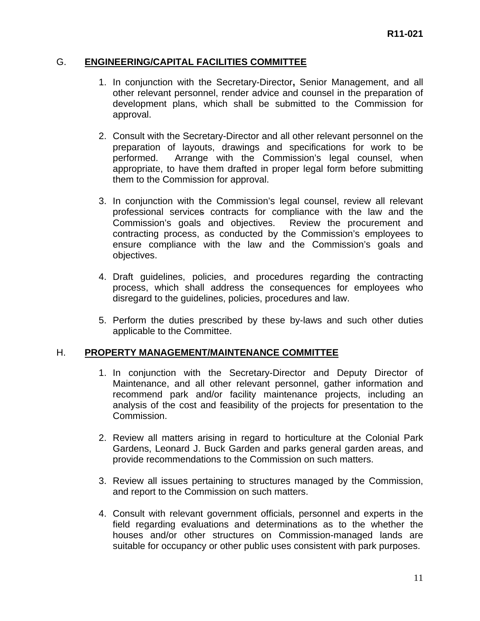### G. **ENGINEERING/CAPITAL FACILITIES COMMITTEE**

- 1. In conjunction with the Secretary-Director**,** Senior Management, and all other relevant personnel, render advice and counsel in the preparation of development plans, which shall be submitted to the Commission for approval.
- 2. Consult with the Secretary-Director and all other relevant personnel on the preparation of layouts, drawings and specifications for work to be performed. Arrange with the Commission's legal counsel, when appropriate, to have them drafted in proper legal form before submitting them to the Commission for approval.
- 3. In conjunction with the Commission's legal counsel, review all relevant professional services contracts for compliance with the law and the Commission's goals and objectives. Review the procurement and contracting process, as conducted by the Commission's employees to ensure compliance with the law and the Commission's goals and objectives.
- 4. Draft guidelines, policies, and procedures regarding the contracting process, which shall address the consequences for employees who disregard to the guidelines, policies, procedures and law.
- 5. Perform the duties prescribed by these by-laws and such other duties applicable to the Committee.

### H. **PROPERTY MANAGEMENT/MAINTENANCE COMMITTEE**

- 1. In conjunction with the Secretary-Director and Deputy Director of Maintenance, and all other relevant personnel, gather information and recommend park and/or facility maintenance projects, including an analysis of the cost and feasibility of the projects for presentation to the Commission.
- 2. Review all matters arising in regard to horticulture at the Colonial Park Gardens, Leonard J. Buck Garden and parks general garden areas, and provide recommendations to the Commission on such matters.
- 3. Review all issues pertaining to structures managed by the Commission, and report to the Commission on such matters.
- 4. Consult with relevant government officials, personnel and experts in the field regarding evaluations and determinations as to the whether the houses and/or other structures on Commission-managed lands are suitable for occupancy or other public uses consistent with park purposes.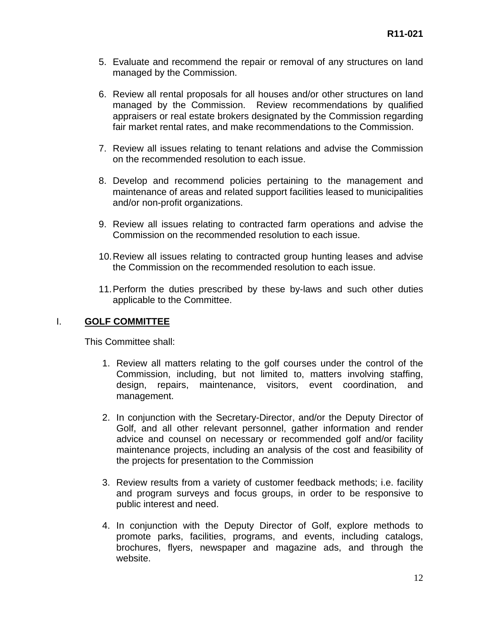- 5. Evaluate and recommend the repair or removal of any structures on land managed by the Commission.
- 6. Review all rental proposals for all houses and/or other structures on land managed by the Commission. Review recommendations by qualified appraisers or real estate brokers designated by the Commission regarding fair market rental rates, and make recommendations to the Commission.
- 7. Review all issues relating to tenant relations and advise the Commission on the recommended resolution to each issue.
- 8. Develop and recommend policies pertaining to the management and maintenance of areas and related support facilities leased to municipalities and/or non-profit organizations.
- 9. Review all issues relating to contracted farm operations and advise the Commission on the recommended resolution to each issue.
- 10. Review all issues relating to contracted group hunting leases and advise the Commission on the recommended resolution to each issue.
- 11. Perform the duties prescribed by these by-laws and such other duties applicable to the Committee.

### I. **GOLF COMMITTEE**

This Committee shall:

- 1. Review all matters relating to the golf courses under the control of the Commission, including, but not limited to, matters involving staffing, design, repairs, maintenance, visitors, event coordination, and management.
- 2. In conjunction with the Secretary-Director, and/or the Deputy Director of Golf, and all other relevant personnel, gather information and render advice and counsel on necessary or recommended golf and/or facility maintenance projects, including an analysis of the cost and feasibility of the projects for presentation to the Commission
- 3. Review results from a variety of customer feedback methods; i.e. facility and program surveys and focus groups, in order to be responsive to public interest and need.
- 4. In conjunction with the Deputy Director of Golf, explore methods to promote parks, facilities, programs, and events, including catalogs, brochures, flyers, newspaper and magazine ads, and through the website.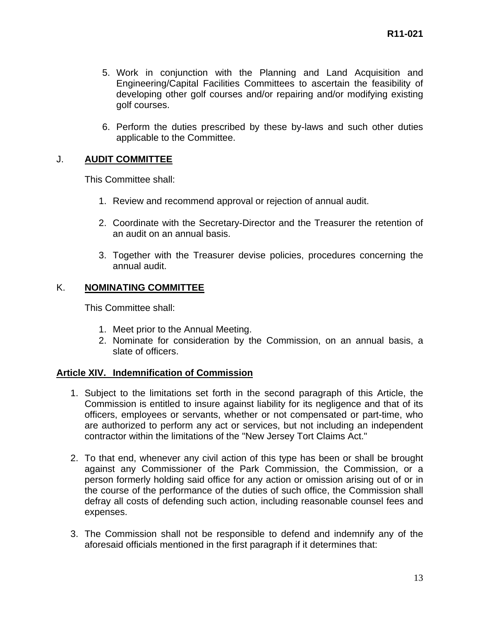- 5. Work in conjunction with the Planning and Land Acquisition and Engineering/Capital Facilities Committees to ascertain the feasibility of developing other golf courses and/or repairing and/or modifying existing golf courses.
- 6. Perform the duties prescribed by these by-laws and such other duties applicable to the Committee.

## J. **AUDIT COMMITTEE**

This Committee shall:

- 1. Review and recommend approval or rejection of annual audit.
- 2. Coordinate with the Secretary-Director and the Treasurer the retention of an audit on an annual basis.
- 3. Together with the Treasurer devise policies, procedures concerning the annual audit.

### K. **NOMINATING COMMITTEE**

This Committee shall:

- 1. Meet prior to the Annual Meeting.
- 2. Nominate for consideration by the Commission, on an annual basis, a slate of officers.

### **Article XIV. Indemnification of Commission**

- 1. Subject to the limitations set forth in the second paragraph of this Article, the Commission is entitled to insure against liability for its negligence and that of its officers, employees or servants, whether or not compensated or part-time, who are authorized to perform any act or services, but not including an independent contractor within the limitations of the "New Jersey Tort Claims Act."
- 2. To that end, whenever any civil action of this type has been or shall be brought against any Commissioner of the Park Commission, the Commission, or a person formerly holding said office for any action or omission arising out of or in the course of the performance of the duties of such office, the Commission shall defray all costs of defending such action, including reasonable counsel fees and expenses.
- 3. The Commission shall not be responsible to defend and indemnify any of the aforesaid officials mentioned in the first paragraph if it determines that: